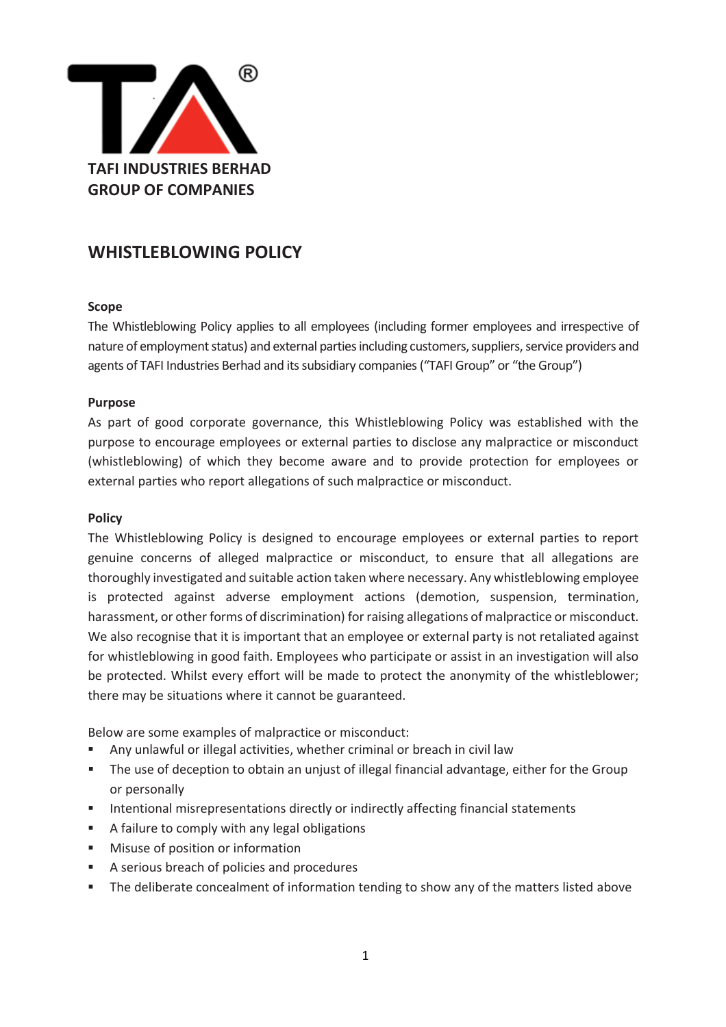

# **WHISTLEBLOWING POLICY**

## **Scope**

The Whistleblowing Policy applies to all employees (including former employees and irrespective of nature of employment status) and external parties including customers, suppliers, service providers and agents of TAFI Industries Berhad and its subsidiary companies ("TAFI Group" or "the Group")

#### **Purpose**

As part of good corporate governance, this Whistleblowing Policy was established with the purpose to encourage employees or external parties to disclose any malpractice or misconduct (whistleblowing) of which they become aware and to provide protection for employees or external parties who report allegations of such malpractice or misconduct.

#### **Policy**

The Whistleblowing Policy is designed to encourage employees or external parties to report genuine concerns of alleged malpractice or misconduct, to ensure that all allegations are thoroughly investigated and suitable action taken where necessary. Any whistleblowing employee is protected against adverse employment actions (demotion, suspension, termination, harassment, or other forms of discrimination) for raising allegations of malpractice or misconduct. We also recognise that it is important that an employee or external party is not retaliated against for whistleblowing in good faith. Employees who participate or assist in an investigation will also be protected. Whilst every effort will be made to protect the anonymity of the whistleblower; there may be situations where it cannot be guaranteed.

Below are some examples of malpractice or misconduct:

- Any unlawful or illegal activities, whether criminal or breach in civil law
- **•** The use of deception to obtain an unjust of illegal financial advantage, either for the Group or personally
- Intentional misrepresentations directly or indirectly affecting financial statements
- A failure to comply with any legal obligations
- Misuse of position or information
- A serious breach of policies and procedures
- The deliberate concealment of information tending to show any of the matters listed above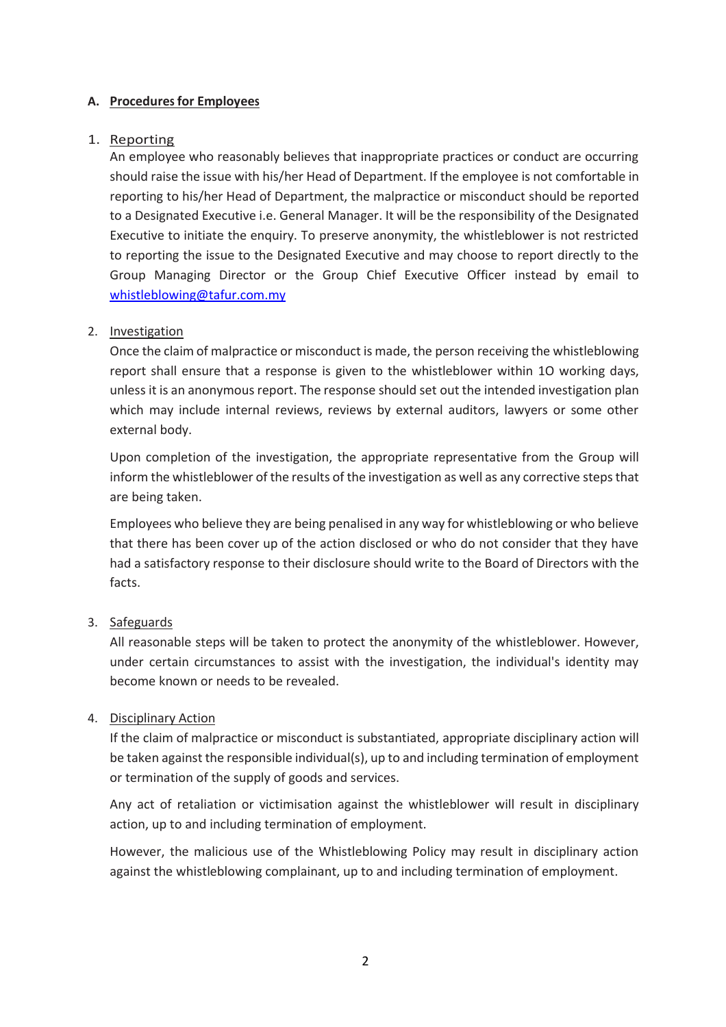#### **A. Procedures for Employees**

#### 1. Reporting

An employee who reasonably believes that inappropriate practices or conduct are occurring should raise the issue with his/her Head of Department. If the employee is not comfortable in reporting to his/her Head of Department, the malpractice or misconduct should be reported to a Designated Executive i.e. General Manager. It will be the responsibility of the Designated Executive to initiate the enquiry. To preserve anonymity, the whistleblower is not restricted to reporting the issue to the Designated Executive and may choose to report directly to the Group Managing Director or the Group Chief Executive Officer instead by email to [whistleblowing@tafur.com.my](mailto:whistleblowing@tafur.com.my)

#### 2. Investigation

Once the claim of malpractice or misconduct is made, the person receiving the whistleblowing report shall ensure that a response is given to the whistleblower within 1O working days, unless it is an anonymous report. The response should set out the intended investigation plan which may include internal reviews, reviews by external auditors, lawyers or some other external body.

Upon completion of the investigation, the appropriate representative from the Group will inform the whistleblower of the results of the investigation as well as any corrective steps that are being taken.

Employees who believe they are being penalised in any way for whistleblowing or who believe that there has been cover up of the action disclosed or who do not consider that they have had a satisfactory response to their disclosure should write to the Board of Directors with the facts.

#### 3. Safeguards

All reasonable steps will be taken to protect the anonymity of the whistleblower. However, under certain circumstances to assist with the investigation, the individual's identity may become known or needs to be revealed.

#### 4. Disciplinary Action

If the claim of malpractice or misconduct is substantiated, appropriate disciplinary action will be taken against the responsible individual(s), up to and including termination of employment or termination of the supply of goods and services.

Any act of retaliation or victimisation against the whistleblower will result in disciplinary action, up to and including termination of employment.

However, the malicious use of the Whistleblowing Policy may result in disciplinary action against the whistleblowing complainant, up to and including termination of employment.